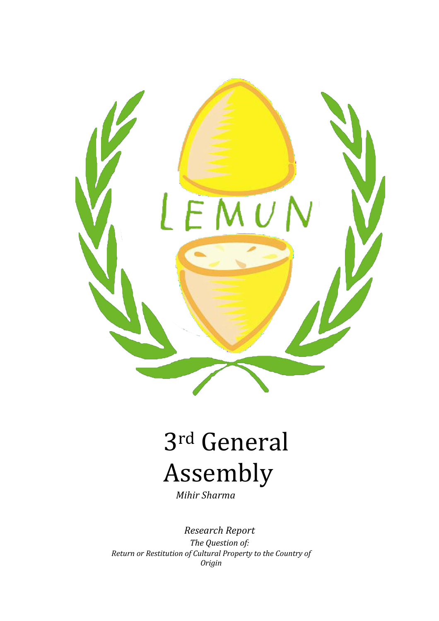

# 3rd General Assembly

*Mihir Sharma*

*Research Report The Question of: Return or Restitution of Cultural Property to the Country of Origin*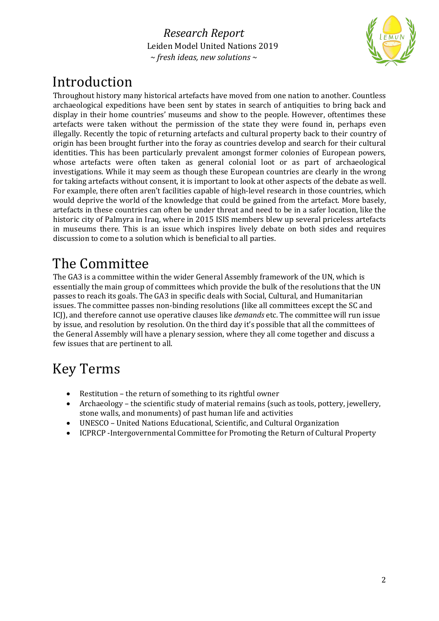

### Introduction

Throughout history many historical artefacts have moved from one nation to another. Countless archaeological expeditions have been sent by states in search of antiquities to bring back and display in their home countries' museums and show to the people. However, oftentimes these artefacts were taken without the permission of the state they were found in, perhaps even illegally. Recently the topic of returning artefacts and cultural property back to their country of origin has been brought further into the foray as countries develop and search for their cultural identities. This has been particularly prevalent amongst former colonies of European powers, whose artefacts were often taken as general colonial loot or as part of archaeological investigations. While it may seem as though these European countries are clearly in the wrong for taking artefacts without consent, it is important to look at other aspects of the debate as well. For example, there often aren't facilities capable of high-level research in those countries, which would deprive the world of the knowledge that could be gained from the artefact. More basely, artefacts in these countries can often be under threat and need to be in a safer location, like the historic city of Palmyra in Iraq, where in 2015 ISIS members blew up several priceless artefacts in museums there. This is an issue which inspires lively debate on both sides and requires discussion to come to a solution which is beneficial to all parties.

### The Committee

The GA3 is a committee within the wider General Assembly framework of the UN, which is essentially the main group of committees which provide the bulk of the resolutions that the UN passes to reach its goals. The GA3 in specific deals with Social, Cultural, and Humanitarian issues. The committee passes non-binding resolutions (like all committees except the SC and ICJ), and therefore cannot use operative clauses like *demands* etc. The committee will run issue by issue, and resolution by resolution. On the third day it's possible that all the committees of the General Assembly will have a plenary session, where they all come together and discuss a few issues that are pertinent to all.

# Key Terms

- Restitution the return of something to its rightful owner
- Archaeology the scientific study of material remains (such as tools, pottery, jewellery, stone walls, and monuments) of past human life and activities
- UNESCO United Nations Educational, Scientific, and Cultural Organization
- ICPRCP -Intergovernmental Committee for Promoting the Return of Cultural Property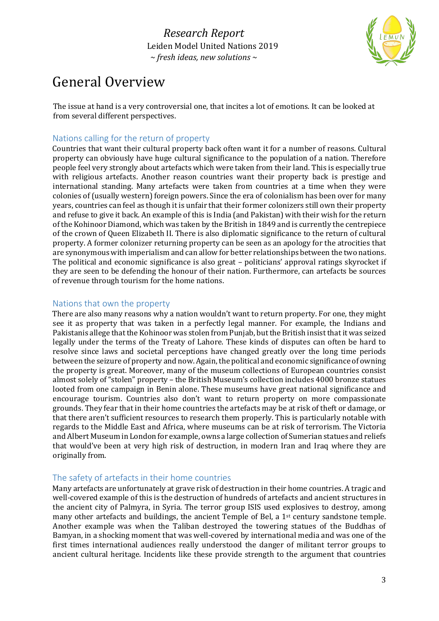

### General Overview

The issue at hand is a very controversial one, that incites a lot of emotions. It can be looked at from several different perspectives.

#### Nations calling for the return of property

Countries that want their cultural property back often want it for a number of reasons. Cultural property can obviously have huge cultural significance to the population of a nation. Therefore people feel very strongly about artefacts which were taken from their land. This is especially true with religious artefacts. Another reason countries want their property back is prestige and international standing. Many artefacts were taken from countries at a time when they were colonies of (usually western) foreign powers. Since the era of colonialism has been over for many years, countries can feel as though it is unfair that their former colonizers still own their property and refuse to give it back. An example of this is India (and Pakistan) with their wish for the return of the Kohinoor Diamond, which was taken by the British in 1849 and is currently the centrepiece of the crown of Queen Elizabeth II. There is also diplomatic significance to the return of cultural property. A former colonizer returning property can be seen as an apology for the atrocities that are synonymous with imperialism and can allow for better relationships between the two nations. The political and economic significance is also great - politicians' approval ratings skyrocket if they are seen to be defending the honour of their nation. Furthermore, can artefacts be sources of revenue through tourism for the home nations.

#### Nations that own the property

There are also many reasons why a nation wouldn't want to return property. For one, they might see it as property that was taken in a perfectly legal manner. For example, the Indians and Pakistanis allege that the Kohinoor was stolen from Punjab, but the British insist that it was seized legally under the terms of the Treaty of Lahore. These kinds of disputes can often be hard to resolve since laws and societal perceptions have changed greatly over the long time periods between the seizure of property and now. Again, the political and economic significance of owning the property is great. Moreover, many of the museum collections of European countries consist almost solely of "stolen" property - the British Museum's collection includes 4000 bronze statues looted from one campaign in Benin alone. These museums have great national significance and encourage tourism. Countries also don't want to return property on more compassionate grounds. They fear that in their home countries the artefacts may be at risk of theft or damage, or that there aren't sufficient resources to research them properly. This is particularly notable with regards to the Middle East and Africa, where museums can be at risk of terrorism. The Victoria and Albert Museum in London for example, owns a large collection of Sumerian statues and reliefs that would've been at very high risk of destruction, in modern Iran and Iraq where they are originally from.

#### The safety of artefacts in their home countries

Many artefacts are unfortunately at grave risk of destruction in their home countries. A tragic and well-covered example of this is the destruction of hundreds of artefacts and ancient structures in the ancient city of Palmyra, in Syria. The terror group ISIS used explosives to destroy, among many other artefacts and buildings, the ancient Temple of Bel, a  $1<sup>st</sup>$  century sandstone temple. Another example was when the Taliban destroyed the towering statues of the Buddhas of Bamyan, in a shocking moment that was well-covered by international media and was one of the first times international audiences really understood the danger of militant terror groups to ancient cultural heritage. Incidents like these provide strength to the argument that countries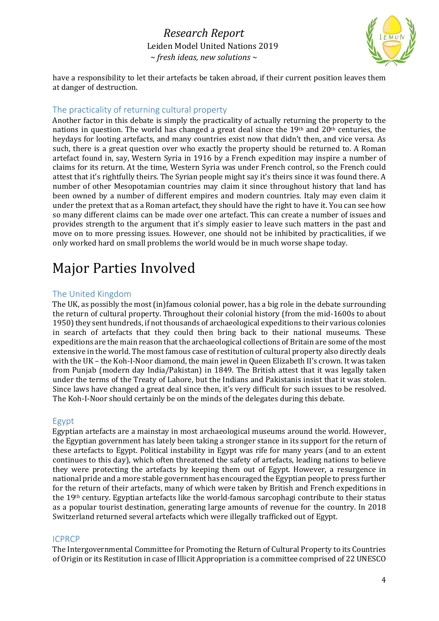

have a responsibility to let their artefacts be taken abroad, if their current position leaves them at danger of destruction.

#### The practicality of returning cultural property

Another factor in this debate is simply the practicality of actually returning the property to the nations in question. The world has changed a great deal since the  $19<sup>th</sup>$  and  $20<sup>th</sup>$  centuries, the heydays for looting artefacts, and many countries exist now that didn't then, and vice versa. As such, there is a great question over who exactly the property should be returned to. A Roman artefact found in, say, Western Syria in 1916 by a French expedition may inspire a number of claims for its return. At the time, Western Syria was under French control, so the French could attest that it's rightfully theirs. The Syrian people might say it's theirs since it was found there. A number of other Mesopotamian countries may claim it since throughout history that land has been owned by a number of different empires and modern countries. Italy may even claim it under the pretext that as a Roman artefact, they should have the right to have it. You can see how so many different claims can be made over one artefact. This can create a number of issues and provides strength to the argument that it's simply easier to leave such matters in the past and move on to more pressing issues. However, one should not be inhibited by practicalities, if we only worked hard on small problems the world would be in much worse shape today.

### **Major Parties Involved**

#### The United Kingdom

The UK, as possibly the most (in)famous colonial power, has a big role in the debate surrounding the return of cultural property. Throughout their colonial history (from the mid-1600s to about 1950) they sent hundreds, if not thousands of archaeological expeditions to their various colonies in search of artefacts that they could then bring back to their national museums. These expeditions are the main reason that the archaeological collections of Britain are some of the most extensive in the world. The most famous case of restitution of cultural property also directly deals with the UK – the Koh-I-Noor diamond, the main jewel in Queen Elizabeth II's crown. It was taken from Punjab (modern day India/Pakistan) in 1849. The British attest that it was legally taken under the terms of the Treaty of Lahore, but the Indians and Pakistanis insist that it was stolen. Since laws have changed a great deal since then, it's very difficult for such issues to be resolved. The Koh-I-Noor should certainly be on the minds of the delegates during this debate.

#### Egypt

Egyptian artefacts are a mainstay in most archaeological museums around the world. However, the Egyptian government has lately been taking a stronger stance in its support for the return of these artefacts to Egypt. Political instability in Egypt was rife for many years (and to an extent continues to this day), which often threatened the safety of artefacts, leading nations to believe they were protecting the artefacts by keeping them out of Egypt. However, a resurgence in national pride and a more stable government has encouraged the Egyptian people to press further for the return of their artefacts, many of which were taken by British and French expeditions in the  $19<sup>th</sup>$  century. Egyptian artefacts like the world-famous sarcophagi contribute to their status as a popular tourist destination, generating large amounts of revenue for the country. In 2018 Switzerland returned several artefacts which were illegally trafficked out of Egypt.

#### ICPRCP

The Intergovernmental Committee for Promoting the Return of Cultural Property to its Countries of Origin or its Restitution in case of Illicit Appropriation is a committee comprised of 22 UNESCO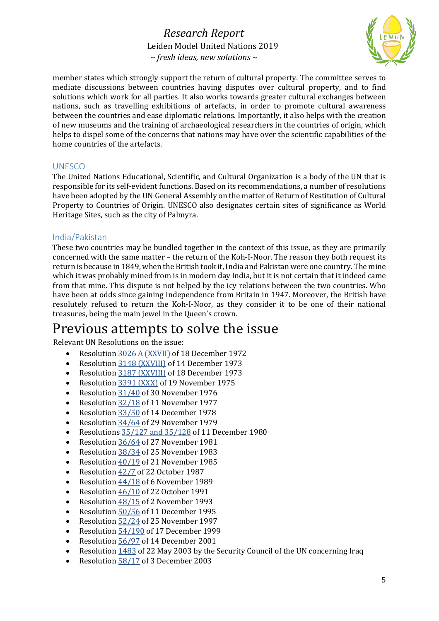

member states which strongly support the return of cultural property. The committee serves to mediate discussions between countries having disputes over cultural property, and to find solutions which work for all parties. It also works towards greater cultural exchanges between nations, such as travelling exhibitions of artefacts, in order to promote cultural awareness between the countries and ease diplomatic relations. Importantly, it also helps with the creation of new museums and the training of archaeological researchers in the countries of origin, which helps to dispel some of the concerns that nations may have over the scientific capabilities of the home countries of the artefacts.

#### UNESCO

The United Nations Educational, Scientific, and Cultural Organization is a body of the UN that is responsible for its self-evident functions. Based on its recommendations, a number of resolutions have been adopted by the UN General Assembly on the matter of Return of Restitution of Cultural Property to Countries of Origin. UNESCO also designates certain sites of significance as World Heritage Sites, such as the city of Palmyra.

#### India/Pakistan

These two countries may be bundled together in the context of this issue, as they are primarily concerned with the same matter – the return of the Koh-I-Noor. The reason they both request its return is because in 1849, when the British took it, India and Pakistan were one country. The mine which it was probably mined from is in modern day India, but it is not certain that it indeed came from that mine. This dispute is not helped by the icy relations between the two countries. Who have been at odds since gaining independence from Britain in 1947. Moreover, the British have resolutely refused to return the Koh-I-Noor, as they consider it to be one of their national treasures, being the main jewel in the Queen's crown.

### Previous attempts to solve the issue

Relevant UN Resolutions on the issue:

- Resolution 3026 A (XXVII) of 18 December 1972
- Resolution 3148 (XXVIII) of 14 December 1973
- Resolution 3187 (XXVIII) of 18 December 1973
- Resolution 3391 (XXX) of 19 November 1975
- Resolution 31/40 of 30 November 1976
- Resolution 32/18 of 11 November 1977
- Resolution 33/50 of 14 December 1978
- Resolution 34/64 of 29 November 1979
- Resolutions  $35/127$  and  $35/128$  of 11 December 1980
- Resolution 36/64 of 27 November 1981
- Resolution 38/34 of 25 November 1983
- Resolution  $\frac{40}{19}$  of 21 November 1985
- Resolution  $42/7$  of 22 October 1987
- Resolution  $44/18$  of 6 November 1989
- Resolution  $46/10$  of 22 October 1991
- Resolution  $\frac{48}{15}$  of 2 November 1993
- Resolution 50/56 of 11 December 1995
- Resolution  $\frac{52}{24}$  of 25 November 1997
- Resolution 54/190 of 17 December 1999
- Resolution 56/97 of 14 December 2001
- Resolution  $1483$  of 22 May 2003 by the Security Council of the UN concerning Iraq
- Resolution 58/17 of 3 December 2003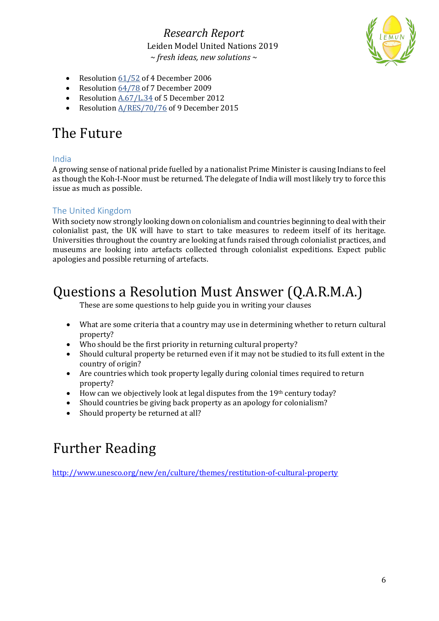

- Resolution  $61/52$  of 4 December 2006
- Resolution 64/78 of 7 December 2009
- Resolution A.67/L.34 of 5 December 2012
- Resolution  $A/RES/70/76$  of 9 December 2015

### The Future

#### India

A growing sense of national pride fuelled by a nationalist Prime Minister is causing Indians to feel as though the Koh-I-Noor must be returned. The delegate of India will most likely try to force this issue as much as possible.

#### The United Kingdom

With society now strongly looking down on colonialism and countries beginning to deal with their colonialist past, the UK will have to start to take measures to redeem itself of its heritage. Universities throughout the country are looking at funds raised through colonialist practices, and museums are looking into artefacts collected through colonialist expeditions. Expect public apologies and possible returning of artefacts.

### Questions a Resolution Must Answer (Q.A.R.M.A.)

These are some questions to help guide you in writing your clauses

- What are some criteria that a country may use in determining whether to return cultural property?
- Who should be the first priority in returning cultural property?
- Should cultural property be returned even if it may not be studied to its full extent in the country of origin?
- Are countries which took property legally during colonial times required to return property?
- How can we objectively look at legal disputes from the  $19<sup>th</sup>$  century today?
- Should countries be giving back property as an apology for colonialism?
- Should property be returned at all?

# **Further Reading**

http://www.unesco.org/new/en/culture/themes/restitution-of-cultural-property